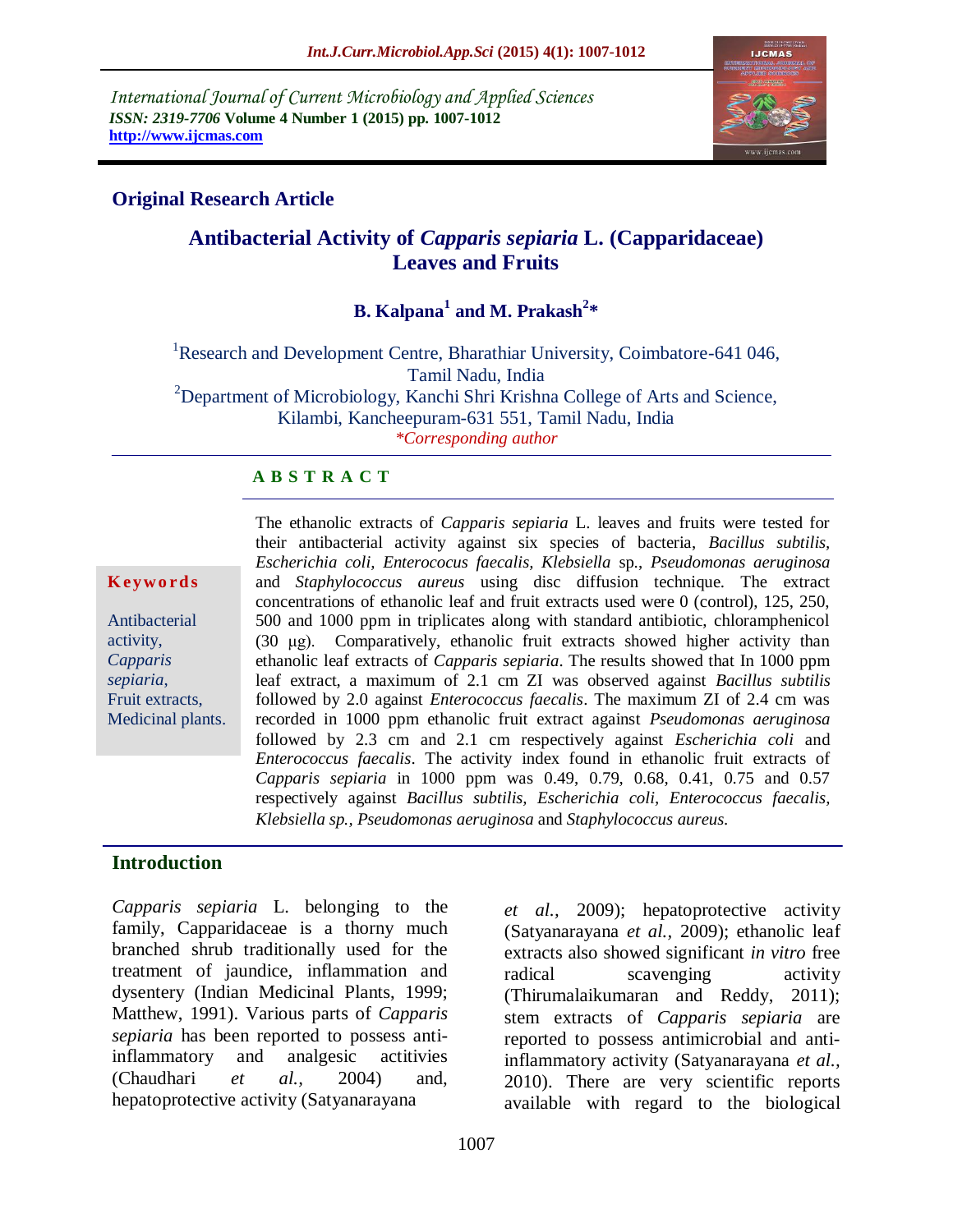*International Journal of Current Microbiology and Applied Sciences ISSN: 2319-7706* **Volume 4 Number 1 (2015) pp. 1007-1012 http://www.ijcmas.com** 



### **Original Research Article**

# **Antibacterial Activity of** *Capparis sepiaria* **L. (Capparidaceae) Leaves and Fruits**

## **B. Kalpana<sup>1</sup> and M. Prakash<sup>2</sup> \***

<sup>1</sup>Research and Development Centre, Bharathiar University, Coimbatore-641 046, Tamil Nadu, India  $2D$ epartment of Microbiology, Kanchi Shri Krishna College of Arts and Science, Kilambi, Kancheepuram-631 551, Tamil Nadu, India *\*Corresponding author*

#### **A B S T R A C T**

#### **K ey w o rd s**

Antibacterial activity, *Capparis sepiaria*, Fruit extracts, Medicinal plants. The ethanolic extracts of *Capparis sepiaria* L. leaves and fruits were tested for their antibacterial activity against six species of bacteria, *Bacillus subtilis, Escherichia coli, Enterococus faecalis, Klebsiella* sp., *Pseudomonas aeruginosa*  and *Staphylococcus aureus* using disc diffusion technique. The extract concentrations of ethanolic leaf and fruit extracts used were 0 (control), 125, 250, 500 and 1000 ppm in triplicates along with standard antibiotic, chloramphenicol (30 μg). Comparatively, ethanolic fruit extracts showed higher activity than ethanolic leaf extracts of *Capparis sepiaria*. The results showed that In 1000 ppm leaf extract, a maximum of 2.1 cm ZI was observed against *Bacillus subtilis* followed by 2.0 against *Enterococcus faecalis*. The maximum ZI of 2.4 cm was recorded in 1000 ppm ethanolic fruit extract against *Pseudomonas aeruginosa* followed by 2.3 cm and 2.1 cm respectively against *Escherichia coli* and *Enterococcus faecalis*. The activity index found in ethanolic fruit extracts of *Capparis sepiaria* in 1000 ppm was 0.49, 0.79, 0.68, 0.41, 0.75 and 0.57 respectively against *Bacillus subtilis, Escherichia coli, Enterococcus faecalis, Klebsiella sp., Pseudomonas aeruginosa* and *Staphylococcus aureus.*

## **Introduction**

*Capparis sepiaria* L. belonging to the family, Capparidaceae is a thorny much branched shrub traditionally used for the treatment of jaundice, inflammation and dysentery (Indian Medicinal Plants, 1999; Matthew, 1991). Various parts of *Capparis sepiaria* has been reported to possess antiinflammatory and analgesic actitivies (Chaudhari *et al.,* 2004) and, hepatoprotective activity (Satyanarayana

*et al.,* 2009); hepatoprotective activity (Satyanarayana *et al.,* 2009); ethanolic leaf extracts also showed significant *in vitro* free radical scavenging activity (Thirumalaikumaran and Reddy, 2011); stem extracts of *Capparis sepiaria* are reported to possess antimicrobial and antiinflammatory activity (Satyanarayana *et al.,* 2010). There are very scientific reports available with regard to the biological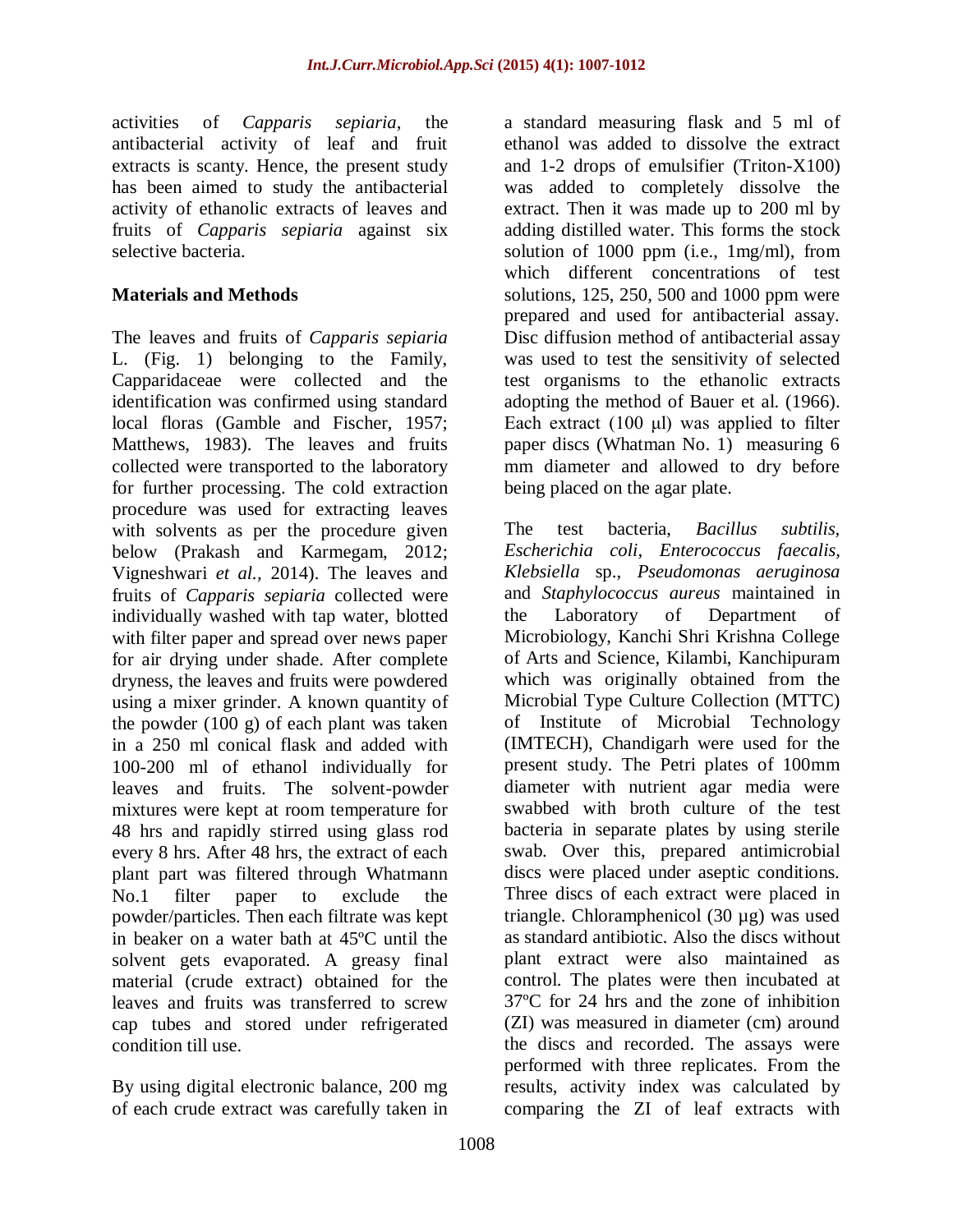activities of *Capparis sepiaria*, the antibacterial activity of leaf and fruit extracts is scanty. Hence, the present study has been aimed to study the antibacterial activity of ethanolic extracts of leaves and fruits of *Capparis sepiaria* against six selective bacteria.

### **Materials and Methods**

The leaves and fruits of *Capparis sepiaria*  L. (Fig. 1) belonging to the Family, Capparidaceae were collected and the identification was confirmed using standard local floras (Gamble and Fischer, 1957; Matthews, 1983). The leaves and fruits collected were transported to the laboratory for further processing. The cold extraction procedure was used for extracting leaves with solvents as per the procedure given below (Prakash and Karmegam, 2012; Vigneshwari *et al.,* 2014). The leaves and fruits of *Capparis sepiaria* collected were individually washed with tap water, blotted with filter paper and spread over news paper for air drying under shade. After complete dryness, the leaves and fruits were powdered using a mixer grinder. A known quantity of the powder (100 g) of each plant was taken in a 250 ml conical flask and added with 100-200 ml of ethanol individually for leaves and fruits. The solvent-powder mixtures were kept at room temperature for 48 hrs and rapidly stirred using glass rod every 8 hrs. After 48 hrs, the extract of each plant part was filtered through Whatmann No.1 filter paper to exclude the powder/particles. Then each filtrate was kept in beaker on a water bath at 45ºC until the solvent gets evaporated. A greasy final material (crude extract) obtained for the leaves and fruits was transferred to screw cap tubes and stored under refrigerated condition till use.

By using digital electronic balance, 200 mg of each crude extract was carefully taken in a standard measuring flask and 5 ml of ethanol was added to dissolve the extract and 1-2 drops of emulsifier (Triton-X100) was added to completely dissolve the extract. Then it was made up to 200 ml by adding distilled water. This forms the stock solution of 1000 ppm (i.e., 1mg/ml), from which different concentrations of test solutions, 125, 250, 500 and 1000 ppm were prepared and used for antibacterial assay. Disc diffusion method of antibacterial assay was used to test the sensitivity of selected test organisms to the ethanolic extracts adopting the method of Bauer et al. (1966). Each extract (100 μl) was applied to filter paper discs (Whatman No. 1) measuring 6 mm diameter and allowed to dry before being placed on the agar plate.

The test bacteria, *Bacillus subtilis, Escherichia coli, Enterococcus faecalis, Klebsiella* sp., *Pseudomonas aeruginosa*  and *Staphylococcus aureus* maintained in the Laboratory of Department of Microbiology, Kanchi Shri Krishna College of Arts and Science, Kilambi, Kanchipuram which was originally obtained from the Microbial Type Culture Collection (MTTC) of Institute of Microbial Technology (IMTECH), Chandigarh were used for the present study. The Petri plates of 100mm diameter with nutrient agar media were swabbed with broth culture of the test bacteria in separate plates by using sterile swab. Over this, prepared antimicrobial discs were placed under aseptic conditions. Three discs of each extract were placed in triangle. Chloramphenicol (30 µg) was used as standard antibiotic. Also the discs without plant extract were also maintained as control. The plates were then incubated at 37ºC for 24 hrs and the zone of inhibition (ZI) was measured in diameter (cm) around the discs and recorded. The assays were performed with three replicates. From the results, activity index was calculated by comparing the ZI of leaf extracts with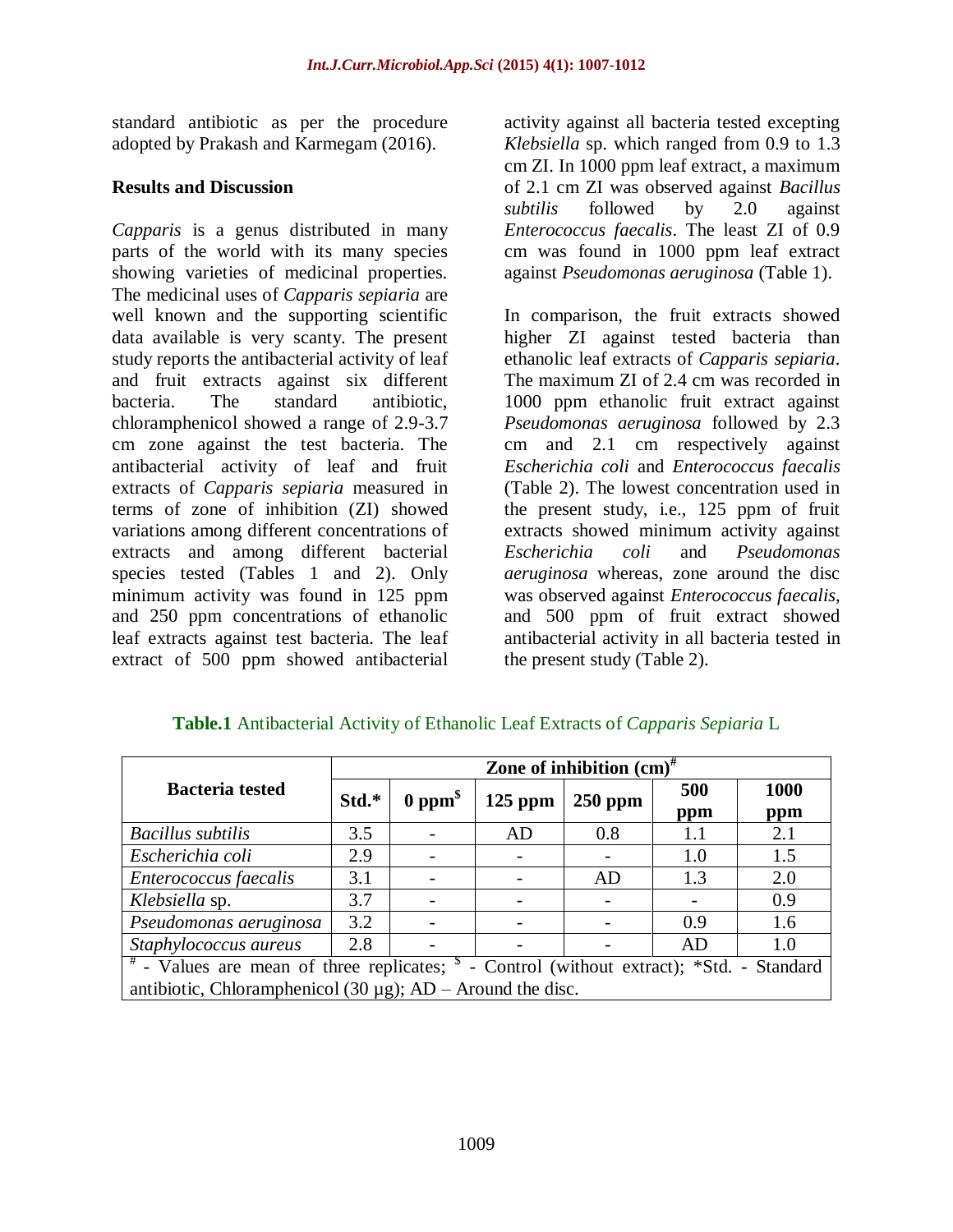standard antibiotic as per the procedure adopted by Prakash and Karmegam (2016).

#### **Results and Discussion**

*Capparis* is a genus distributed in many parts of the world with its many species showing varieties of medicinal properties. The medicinal uses of *Capparis sepiaria* are well known and the supporting scientific data available is very scanty. The present study reports the antibacterial activity of leaf and fruit extracts against six different bacteria. The standard antibiotic, chloramphenicol showed a range of 2.9-3.7 cm zone against the test bacteria. The antibacterial activity of leaf and fruit extracts of *Capparis sepiaria* measured in terms of zone of inhibition (ZI) showed variations among different concentrations of extracts and among different bacterial species tested (Tables 1 and 2). Only minimum activity was found in 125 ppm and 250 ppm concentrations of ethanolic leaf extracts against test bacteria. The leaf extract of 500 ppm showed antibacterial

activity against all bacteria tested excepting *Klebsiella* sp. which ranged from 0.9 to 1.3 cm ZI. In 1000 ppm leaf extract, a maximum of 2.1 cm ZI was observed against *Bacillus subtilis* followed by 2.0 against *Enterococcus faecalis*. The least ZI of 0.9 cm was found in 1000 ppm leaf extract against *Pseudomonas aeruginosa* (Table 1).

In comparison, the fruit extracts showed higher ZI against tested bacteria than ethanolic leaf extracts of *Capparis sepiaria*. The maximum ZI of 2.4 cm was recorded in 1000 ppm ethanolic fruit extract against *Pseudomonas aeruginosa* followed by 2.3 cm and 2.1 cm respectively against *Escherichia coli* and *Enterococcus faecalis* (Table 2). The lowest concentration used in the present study, i.e., 125 ppm of fruit extracts showed minimum activity against *Escherichia coli* and *Pseudomonas aeruginosa* whereas, zone around the disc was observed against *Enterococcus faecalis,*  and 500 ppm of fruit extract showed antibacterial activity in all bacteria tested in the present study (Table 2).

|                                                                                                                           | Zone of inhibition $(cm)^{\#}$ |                           |           |           |     |             |  |  |
|---------------------------------------------------------------------------------------------------------------------------|--------------------------------|---------------------------|-----------|-----------|-----|-------------|--|--|
| <b>Bacteria tested</b>                                                                                                    | Std.*                          | $0~\text{ppm}^{\text{s}}$ | $125$ ppm | $250$ ppm | 500 | <b>1000</b> |  |  |
|                                                                                                                           |                                |                           |           |           | ppm | ppm         |  |  |
| Bacillus subtilis                                                                                                         | 3.5                            |                           | AD        | 0.8       | 1.1 | 2.1         |  |  |
| Escherichia coli                                                                                                          | 2.9                            |                           |           |           | 1.0 | 1.5         |  |  |
| Enterococcus faecalis                                                                                                     | 3.1                            |                           |           | AD        | 1.3 | 2.0         |  |  |
| Klebsiella sp.                                                                                                            | 3.7                            |                           |           |           |     | 0.9         |  |  |
| Pseudomonas aeruginosa                                                                                                    | 3.2                            |                           |           |           | 0.9 | 1.6         |  |  |
| Staphylococcus aureus                                                                                                     | 2.8                            |                           |           |           | AD  | 1.0         |  |  |
| $\sqrt{\frac{4}{\pi}}$ - Values are mean of three replicates; $\frac{1}{2}$ - Control (without extract); *Std. - Standard |                                |                           |           |           |     |             |  |  |
| antibiotic, Chloramphenicol (30 $\mu$ g); AD – Around the disc.                                                           |                                |                           |           |           |     |             |  |  |

### **Table.1** Antibacterial Activity of Ethanolic Leaf Extracts of *Capparis Sepiaria* L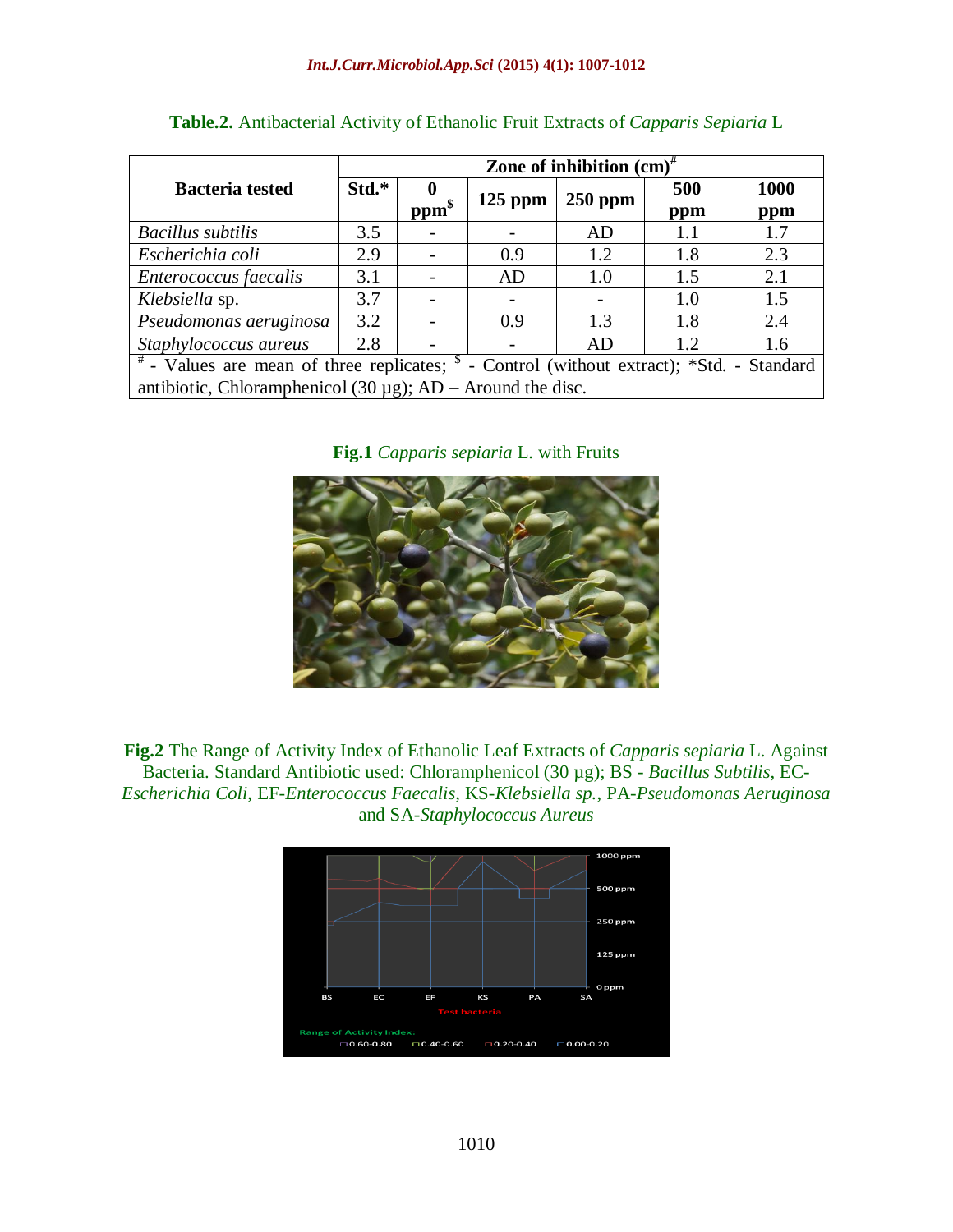|                                                                                                                 | Zone of inhibition $\text{(cm)}^{\#}$ |                  |           |           |            |                    |  |  |
|-----------------------------------------------------------------------------------------------------------------|---------------------------------------|------------------|-----------|-----------|------------|--------------------|--|--|
| <b>Bacteria</b> tested                                                                                          | Std.*                                 | ppm <sup>§</sup> | $125$ ppm | $250$ ppm | 500<br>ppm | <b>1000</b><br>ppm |  |  |
| Bacillus subtilis                                                                                               | 3.5                                   |                  |           | AD        | 1.1        | 1.7                |  |  |
| Escherichia coli                                                                                                | 2.9                                   |                  | 0.9       | 1.2       | 1.8        | 2.3                |  |  |
| Enterococcus faecalis                                                                                           | 3.1                                   |                  | AD        | 1.0       | 1.5        | 2.1                |  |  |
| Klebsiella sp.                                                                                                  | 3.7                                   |                  |           |           | 1.0        | 1.5                |  |  |
| Pseudomonas aeruginosa                                                                                          | 3.2                                   |                  | 0.9       | 1.3       | 1.8        | 2.4                |  |  |
| Staphylococcus aureus                                                                                           | 2.8                                   |                  |           | AD        | 1.2        | 1.6                |  |  |
| <sup>#</sup> - Values are mean of three replicates; <sup>\$</sup> - Control (without extract); *Std. - Standard |                                       |                  |           |           |            |                    |  |  |
| antibiotic, Chloramphenicol (30 $\mu$ g); AD – Around the disc.                                                 |                                       |                  |           |           |            |                    |  |  |

| Table.2. Antibacterial Activity of Ethanolic Fruit Extracts of Capparis Sepiaria L |  |  |  |  |  |
|------------------------------------------------------------------------------------|--|--|--|--|--|
|                                                                                    |  |  |  |  |  |

**Fig.1** *Capparis sepiaria* L. with Fruits



**Fig.2** The Range of Activity Index of Ethanolic Leaf Extracts of *Capparis sepiaria* L. Against Bacteria. Standard Antibiotic used: Chloramphenicol (30 µg); BS - *Bacillus Subtilis*, EC-*Escherichia Coli*, EF-*Enterococcus Faecalis*, KS-*Klebsiella sp.*, PA-*Pseudomonas Aeruginosa* and SA-*Staphylococcus Aureus*

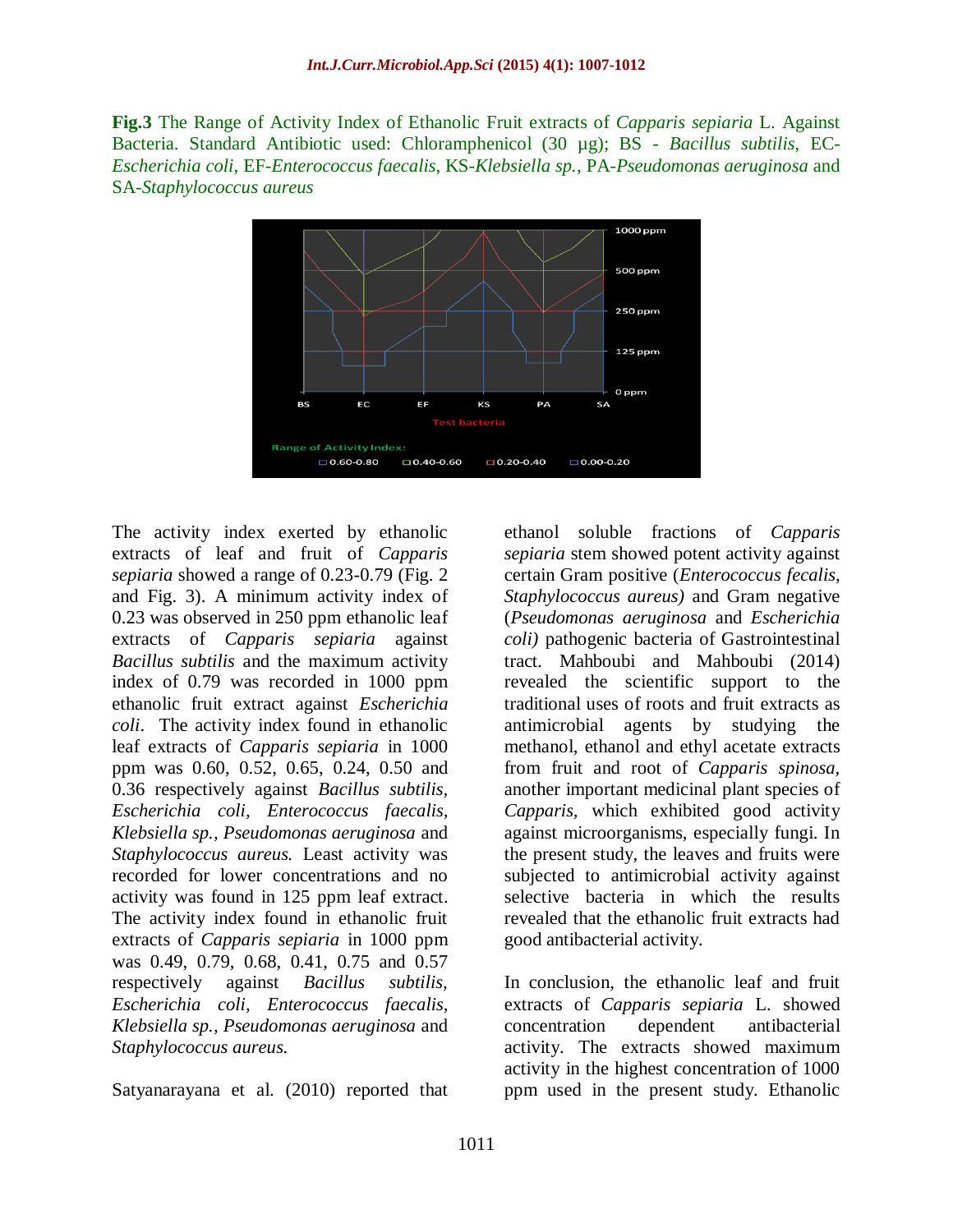**Fig.3** The Range of Activity Index of Ethanolic Fruit extracts of *Capparis sepiaria* L. Against Bacteria. Standard Antibiotic used: Chloramphenicol (30 µg); BS - *Bacillus subtilis*, EC-*Escherichia coli*, EF-*Enterococcus faecalis*, KS-*Klebsiella sp.*, PA-*Pseudomonas aeruginosa* and SA-*Staphylococcus aureus*



The activity index exerted by ethanolic extracts of leaf and fruit of *Capparis sepiaria* showed a range of 0.23-0.79 (Fig. 2 and Fig. 3). A minimum activity index of 0.23 was observed in 250 ppm ethanolic leaf extracts of *Capparis sepiaria* against *Bacillus subtilis* and the maximum activity index of 0.79 was recorded in 1000 ppm ethanolic fruit extract against *Escherichia coli*. The activity index found in ethanolic leaf extracts of *Capparis sepiaria* in 1000 ppm was 0.60, 0.52, 0.65, 0.24, 0.50 and 0.36 respectively against *Bacillus subtilis, Escherichia coli, Enterococcus faecalis, Klebsiella sp., Pseudomonas aeruginosa* and *Staphylococcus aureus.* Least activity was recorded for lower concentrations and no activity was found in 125 ppm leaf extract. The activity index found in ethanolic fruit extracts of *Capparis sepiaria* in 1000 ppm was 0.49, 0.79, 0.68, 0.41, 0.75 and 0.57 respectively against *Bacillus subtilis, Escherichia coli, Enterococcus faecalis, Klebsiella sp., Pseudomonas aeruginosa* and *Staphylococcus aureus.*

Satyanarayana et al. (2010) reported that

ethanol soluble fractions of *Capparis sepiaria* stem showed potent activity against certain Gram positive (*Enterococcus fecalis, Staphylococcus aureus)* and Gram negative (*Pseudomonas aeruginosa* and *Escherichia coli)* pathogenic bacteria of Gastrointestinal tract. Mahboubi and Mahboubi (2014) revealed the scientific support to the traditional uses of roots and fruit extracts as antimicrobial agents by studying the methanol, ethanol and ethyl acetate extracts from fruit and root of *Capparis spinosa,*  another important medicinal plant species of *Capparis,* which exhibited good activity against microorganisms, especially fungi. In the present study, the leaves and fruits were subjected to antimicrobial activity against selective bacteria in which the results revealed that the ethanolic fruit extracts had good antibacterial activity.

In conclusion, the ethanolic leaf and fruit extracts of *Capparis sepiaria* L. showed concentration dependent antibacterial activity. The extracts showed maximum activity in the highest concentration of 1000 ppm used in the present study. Ethanolic